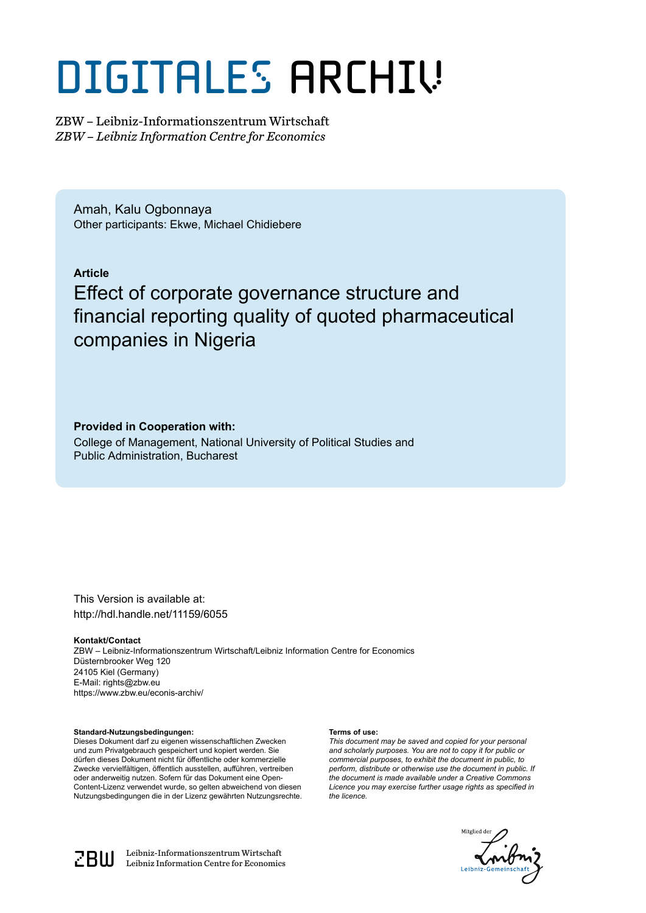# DIGITALES ARCHIV

ZBW – Leibniz-Informationszentrum Wirtschaft *ZBW – Leibniz Information Centre for Economics*

Amah, Kalu Ogbonnaya Other participants: Ekwe, Michael Chidiebere

## **Article**

# Effect of corporate governance structure and financial reporting quality of quoted pharmaceutical companies in Nigeria

### **Provided in Cooperation with:**

College of Management, National University of Political Studies and Public Administration, Bucharest

This Version is available at: http://hdl.handle.net/11159/6055

#### **Kontakt/Contact**

ZBW – Leibniz-Informationszentrum Wirtschaft/Leibniz Information Centre for Economics Düsternbrooker Weg 120 24105 Kiel (Germany) E-Mail: rights@zbw.eu https://www.zbw.eu/econis-archiv/

#### **Standard-Nutzungsbedingungen:**

Dieses Dokument darf zu eigenen wissenschaftlichen Zwecken und zum Privatgebrauch gespeichert und kopiert werden. Sie dürfen dieses Dokument nicht für öffentliche oder kommerzielle Zwecke vervielfältigen, öffentlich ausstellen, aufführen, vertreiben oder anderweitig nutzen. Sofern für das Dokument eine Open-Content-Lizenz verwendet wurde, so gelten abweichend von diesen Nutzungsbedingungen die in der Lizenz gewährten Nutzungsrechte.

#### **Terms of use:**

*This document may be saved and copied for your personal and scholarly purposes. You are not to copy it for public or commercial purposes, to exhibit the document in public, to perform, distribute or otherwise use the document in public. If the document is made available under a Creative Commons Licence you may exercise further usage rights as specified in the licence.*





 $\mathbb{Z} \text{B} \text{U}$  Leibniz-Informationszentrum Wirtschaft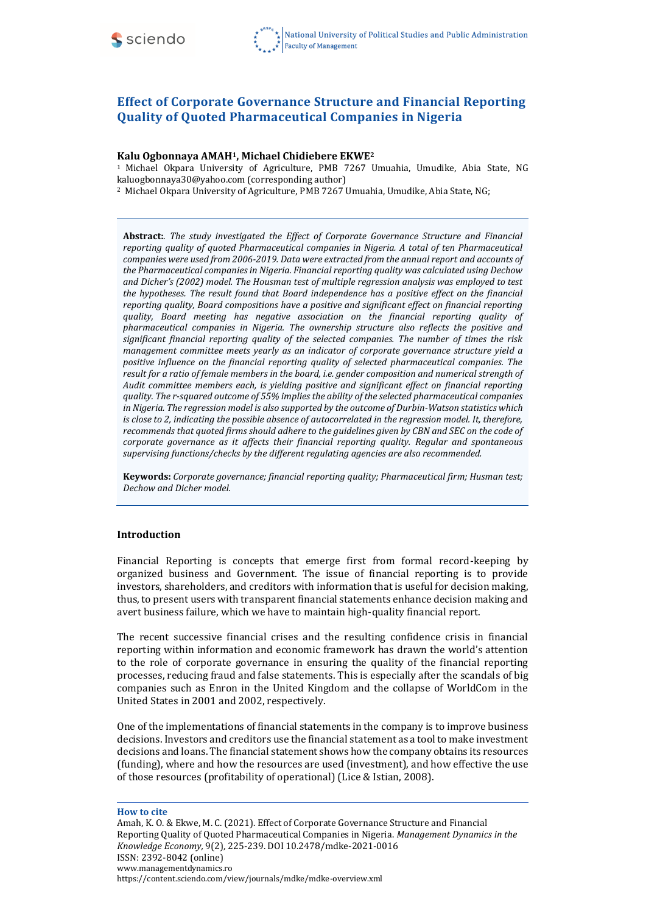

# **Effect of Corporate Governance Structure and Financial Reporting Quality of Quoted Pharmaceutical Companies in Nigeria**

#### **Kalu Ogbonnaya AMAH1, Michael Chidiebere EKWE<sup>2</sup>**

<sup>1</sup>Michael Okpara University of Agriculture, PMB 7267 Umuahia, Umudike, Abia State, NG [kaluogbonnaya30@yahoo.com](mailto:kaluogbonnaya30@yahoo.com) (corresponding author)

<sup>2</sup> Michael Okpara University of Agriculture, PMB 7267 Umuahia, Umudike, Abia State, NG;

**Abstract:**. *The study investigated the Effect of Corporate Governance Structure and Financial reporting quality of quoted Pharmaceutical companies in Nigeria. A total of ten Pharmaceutical companies were used from 2006-2019. Data were extracted from the annual report and accounts of the Pharmaceutical companies in Nigeria. Financial reporting quality was calculated using Dechow and Dicher's (2002) model. The Housman test of multiple regression analysis was employed to test the hypotheses. The result found that Board independence has a positive effect on the financial reporting quality, Board compositions have a positive and significant effect on financial reporting quality, Board meeting has negative association on the financial reporting quality of pharmaceutical companies in Nigeria. The ownership structure also reflects the positive and significant financial reporting quality of the selected companies. The number of times the risk management committee meets yearly as an indicator of corporate governance structure yield a positive influence on the financial reporting quality of selected pharmaceutical companies. The result for a ratio of female members in the board, i.e. gender composition and numerical strength of Audit committee members each, is yielding positive and significant effect on financial reporting quality. The r-squared outcome of 55% implies the ability of the selected pharmaceutical companies in Nigeria. The regression model is also supported by the outcome of Durbin-Watson statistics which is close to 2, indicating the possible absence of autocorrelated in the regression model. It, therefore, recommends that quoted firms should adhere to the guidelines given by CBN and SEC on the code of corporate governance as it affects their financial reporting quality. Regular and spontaneous supervising functions/checks by the different regulating agencies are also recommended.*

**Keywords:** *Corporate governance; financial reporting quality; Pharmaceutical firm; Husman test; Dechow and Dicher model.*

#### **Introduction**

Financial Reporting is concepts that emerge first from formal record-keeping by organized business and Government. The issue of financial reporting is to provide investors, shareholders, and creditors with information that is useful for decision making, thus, to present users with transparent financial statements enhance decision making and avert business failure, which we have to maintain high-quality financial report.

The recent successive financial crises and the resulting confidence crisis in financial reporting within information and economic framework has drawn the world's attention to the role of corporate governance in ensuring the quality of the financial reporting processes, reducing fraud and false statements. This is especially after the scandals of big companies such as Enron in the United Kingdom and the collapse of WorldCom in the United States in 2001 and 2002, respectively.

One of the implementations of financial statements in the company is to improve business decisions. Investors and creditors use the financial statement as a tool to make investment decisions and loans. The financial statement shows how the company obtains its resources (funding), where and how the resources are used (investment), and how effective the use of those resources (profitability of operational) (Lice & Istian, 2008).

#### **How to cite**

Amah, K. O. & Ekwe, M. C. (2021). Effect of Corporate Governance Structure and Financial Reporting Quality of Quoted Pharmaceutical Companies in Nigeria. *Management Dynamics in the Knowledge Economy,* 9(2)*,* 225-239. DOI 10.2478/mdke-2021-0016 ISSN: 2392-8042 (online) [www.managementdynamics.ro](http://www.managementdynamics.ro/) <https://content.sciendo.com/view/journals/mdke/mdke-overview.xml>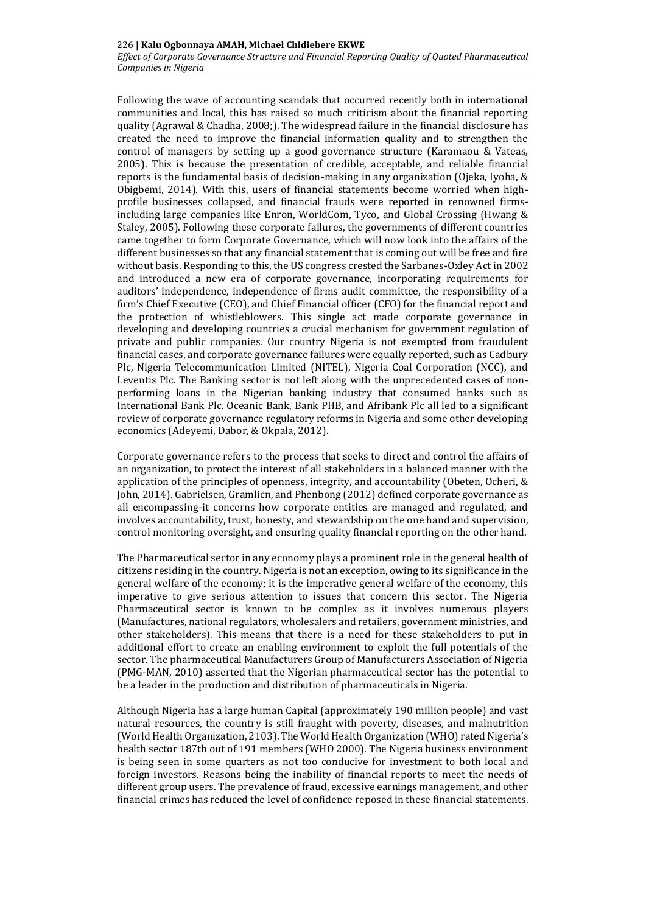Following the wave of accounting scandals that occurred recently both in international communities and local, this has raised so much criticism about the financial reporting quality (Agrawal & Chadha, 2008;). The widespread failure in the financial disclosure has created the need to improve the financial information quality and to strengthen the control of managers by setting up a good governance structure (Karamaou & Vateas, 2005). This is because the presentation of credible, acceptable, and reliable financial reports is the fundamental basis of decision-making in any organization (Ojeka, Iyoha, & Obigbemi, 2014). With this, users of financial statements become worried when highprofile businesses collapsed, and financial frauds were reported in renowned firmsincluding large companies like Enron, WorldCom, Tyco, and Global Crossing (Hwang & Staley, 2005). Following these corporate failures, the governments of different countries came together to form Corporate Governance, which will now look into the affairs of the different businesses so that any financial statement that is coming out will be free and fire without basis. Responding to this, the US congress crested the Sarbanes-Oxley Act in 2002 and introduced a new era of corporate governance, incorporating requirements for auditors' independence, independence of firms audit committee, the responsibility of a firm's Chief Executive (CEO), and Chief Financial officer (CFO) for the financial report and the protection of whistleblowers. This single act made corporate governance in developing and developing countries a crucial mechanism for government regulation of private and public companies. Our country Nigeria is not exempted from fraudulent financial cases, and corporate governance failures were equally reported, such as Cadbury Plc, Nigeria Telecommunication Limited (NITEL), Nigeria Coal Corporation (NCC), and Leventis Plc. The Banking sector is not left along with the unprecedented cases of nonperforming loans in the Nigerian banking industry that consumed banks such as International Bank Plc. Oceanic Bank, Bank PHB, and Afribank Plc all led to a significant review of corporate governance regulatory reforms in Nigeria and some other developing economics (Adeyemi, Dabor, & Okpala, 2012).

Corporate governance refers to the process that seeks to direct and control the affairs of an organization, to protect the interest of all stakeholders in a balanced manner with the application of the principles of openness, integrity, and accountability (Obeten, Ocheri, & John, 2014). Gabrielsen, Gramlicn, and Phenbong (2012) defined corporate governance as all encompassing-it concerns how corporate entities are managed and regulated, and involves accountability, trust, honesty, and stewardship on the one hand and supervision, control monitoring oversight, and ensuring quality financial reporting on the other hand.

The Pharmaceutical sector in any economy plays a prominent role in the general health of citizens residing in the country. Nigeria is not an exception, owing to its significance in the general welfare of the economy; it is the imperative general welfare of the economy, this imperative to give serious attention to issues that concern this sector. The Nigeria Pharmaceutical sector is known to be complex as it involves numerous players (Manufactures, national regulators, wholesalers and retailers, government ministries, and other stakeholders). This means that there is a need for these stakeholders to put in additional effort to create an enabling environment to exploit the full potentials of the sector. The pharmaceutical Manufacturers Group of Manufacturers Association of Nigeria (PMG-MAN, 2010) asserted that the Nigerian pharmaceutical sector has the potential to be a leader in the production and distribution of pharmaceuticals in Nigeria.

Although Nigeria has a large human Capital (approximately 190 million people) and vast natural resources, the country is still fraught with poverty, diseases, and malnutrition (World Health Organization, 2103). The World Health Organization (WHO) rated Nigeria's health sector 187th out of 191 members (WHO 2000). The Nigeria business environment is being seen in some quarters as not too conducive for investment to both local and foreign investors. Reasons being the inability of financial reports to meet the needs of different group users. The prevalence of fraud, excessive earnings management, and other financial crimes has reduced the level of confidence reposed in these financial statements.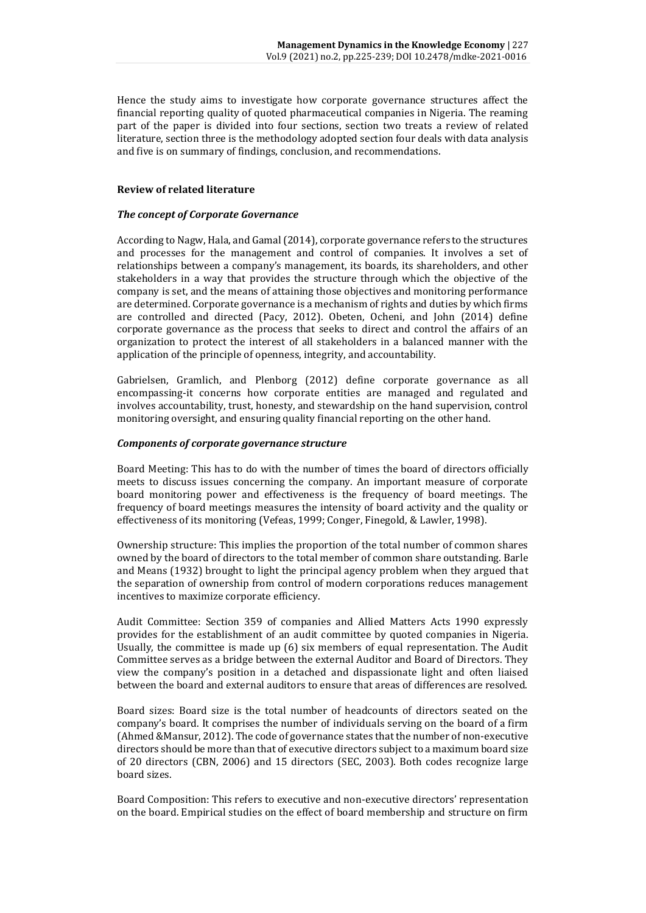Hence the study aims to investigate how corporate governance structures affect the financial reporting quality of quoted pharmaceutical companies in Nigeria. The reaming part of the paper is divided into four sections, section two treats a review of related literature, section three is the methodology adopted section four deals with data analysis and five is on summary of findings, conclusion, and recommendations.

#### **Review of related literature**

#### *The concept of Corporate Governance*

According to Nagw, Hala, and Gamal (2014), corporate governance refers to the structures and processes for the management and control of companies. It involves a set of relationships between a company's management, its boards, its shareholders, and other stakeholders in a way that provides the structure through which the objective of the company is set, and the means of attaining those objectives and monitoring performance are determined. Corporate governance is a mechanism of rights and duties by which firms are controlled and directed (Pacy, 2012). Obeten, Ocheni, and John (2014) define corporate governance as the process that seeks to direct and control the affairs of an organization to protect the interest of all stakeholders in a balanced manner with the application of the principle of openness, integrity, and accountability.

Gabrielsen, Gramlich, and Plenborg (2012) define corporate governance as all encompassing-it concerns how corporate entities are managed and regulated and involves accountability, trust, honesty, and stewardship on the hand supervision, control monitoring oversight, and ensuring quality financial reporting on the other hand.

#### *Components of corporate governance structure*

Board Meeting: This has to do with the number of times the board of directors officially meets to discuss issues concerning the company. An important measure of corporate board monitoring power and effectiveness is the frequency of board meetings. The frequency of board meetings measures the intensity of board activity and the quality or effectiveness of its monitoring (Vefeas, 1999; Conger, Finegold, & Lawler, 1998).

Ownership structure: This implies the proportion of the total number of common shares owned by the board of directors to the total member of common share outstanding. Barle and Means (1932) brought to light the principal agency problem when they argued that the separation of ownership from control of modern corporations reduces management incentives to maximize corporate efficiency.

Audit Committee: Section 359 of companies and Allied Matters Acts 1990 expressly provides for the establishment of an audit committee by quoted companies in Nigeria. Usually, the committee is made up (6) six members of equal representation. The Audit Committee serves as a bridge between the external Auditor and Board of Directors. They view the company's position in a detached and dispassionate light and often liaised between the board and external auditors to ensure that areas of differences are resolved.

Board sizes: Board size is the total number of headcounts of directors seated on the company's board. It comprises the number of individuals serving on the board of a firm (Ahmed &Mansur, 2012). The code of governance states that the number of non-executive directors should be more than that of executive directors subject to a maximum board size of 20 directors (CBN, 2006) and 15 directors (SEC, 2003). Both codes recognize large board sizes.

Board Composition: This refers to executive and non-executive directors' representation on the board. Empirical studies on the effect of board membership and structure on firm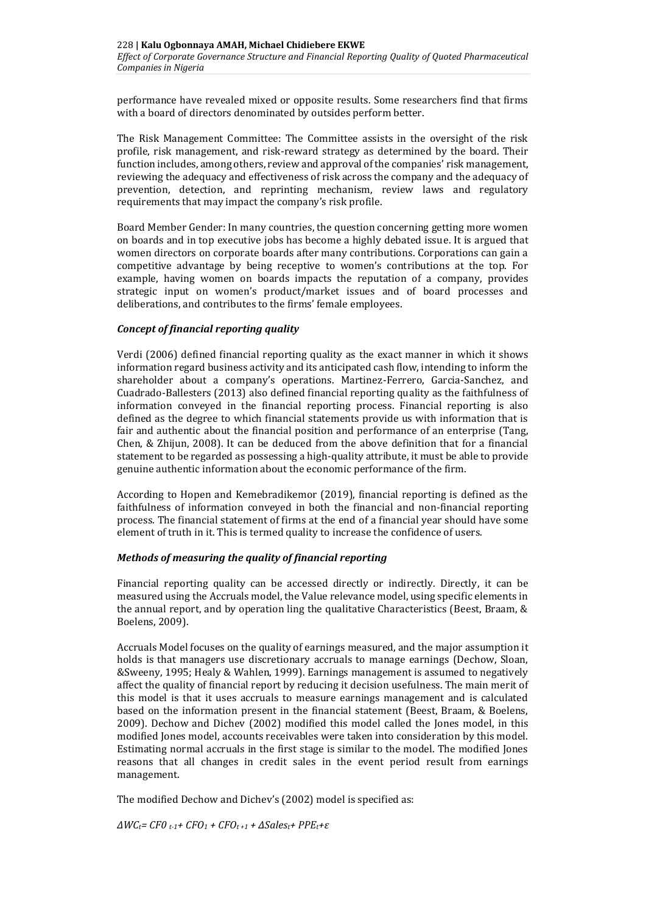performance have revealed mixed or opposite results. Some researchers find that firms with a board of directors denominated by outsides perform better.

The Risk Management Committee: The Committee assists in the oversight of the risk profile, risk management, and risk-reward strategy as determined by the board. Their function includes, among others, review and approval of the companies' risk management, reviewing the adequacy and effectiveness of risk across the company and the adequacy of prevention, detection, and reprinting mechanism, review laws and regulatory requirements that may impact the company's risk profile.

Board Member Gender: In many countries, the question concerning getting more women on boards and in top executive jobs has become a highly debated issue. It is argued that women directors on corporate boards after many contributions. Corporations can gain a competitive advantage by being receptive to women's contributions at the top. For example, having women on boards impacts the reputation of a company, provides strategic input on women's product/market issues and of board processes and deliberations, and contributes to the firms' female employees.

#### *Concept of financial reporting quality*

Verdi (2006) defined financial reporting quality as the exact manner in which it shows information regard business activity and its anticipated cash flow, intending to inform the shareholder about a company's operations. Martinez-Ferrero, Garcia-Sanchez, and Cuadrado-Ballesters (2013) also defined financial reporting quality as the faithfulness of information conveyed in the financial reporting process. Financial reporting is also defined as the degree to which financial statements provide us with information that is fair and authentic about the financial position and performance of an enterprise (Tang, Chen, & Zhijun, 2008). It can be deduced from the above definition that for a financial statement to be regarded as possessing a high-quality attribute, it must be able to provide genuine authentic information about the economic performance of the firm.

According to Hopen and Kemebradikemor (2019), financial reporting is defined as the faithfulness of information conveyed in both the financial and non-financial reporting process. The financial statement of firms at the end of a financial year should have some element of truth in it. This is termed quality to increase the confidence of users.

#### *Methods of measuring the quality of financial reporting*

Financial reporting quality can be accessed directly or indirectly. Directly, it can be measured using the Accruals model, the Value relevance model, using specific elements in the annual report, and by operation ling the qualitative Characteristics (Beest, Braam, & Boelens, 2009).

Accruals Model focuses on the quality of earnings measured, and the major assumption it holds is that managers use discretionary accruals to manage earnings (Dechow, Sloan, &Sweeny, 1995; Healy & Wahlen, 1999). Earnings management is assumed to negatively affect the quality of financial report by reducing it decision usefulness. The main merit of this model is that it uses accruals to measure earnings management and is calculated based on the information present in the financial statement (Beest, Braam, & Boelens, 2009). Dechow and Dichev (2002) modified this model called the Jones model, in this modified Jones model, accounts receivables were taken into consideration by this model. Estimating normal accruals in the first stage is similar to the model. The modified Jones reasons that all changes in credit sales in the event period result from earnings management.

The modified Dechow and Dichev's (2002) model is specified as:

*ΔWCt= CF0 t-1+ CFO<sup>1</sup> + CFOt +1 + ΔSalest+ PPEt+ε*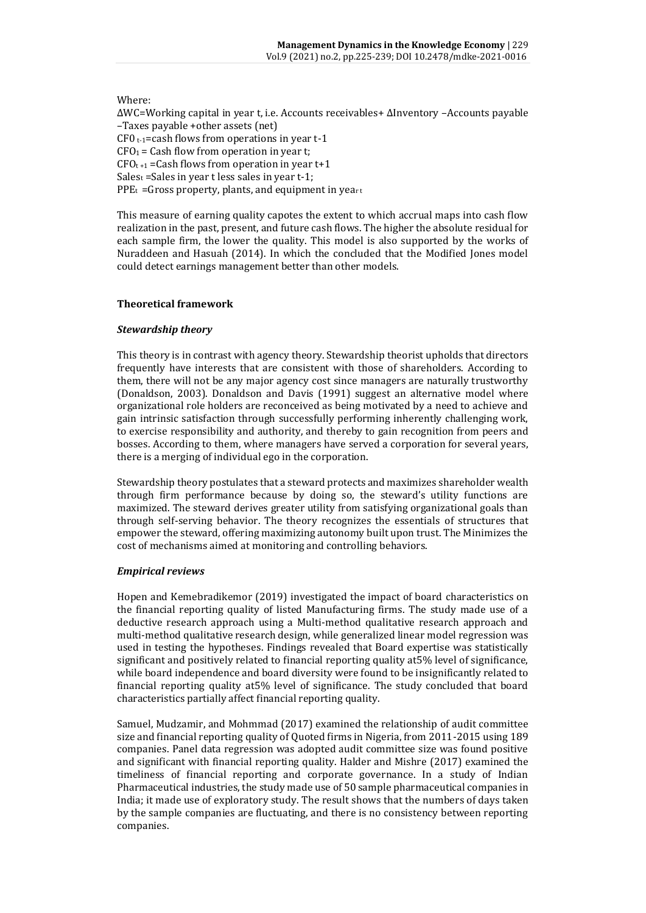#### Where:

ΔWC=Working capital in year t, i.e. Accounts receivables+ ΔInventory –Accounts payable –Taxes payable +other assets (net) CF0  $t$ -1=cash flows from operations in year t-1  $CFO<sub>1</sub> = Cash flow from operation in year t;$  $CFO_{t+1}$  = Cash flows from operation in year t+1  $Sales_t = Sales$  in year t less sales in year t-1;  $PPE_t = Gross$  property, plants, and equipment in yeart

This measure of earning quality capotes the extent to which accrual maps into cash flow realization in the past, present, and future cash flows. The higher the absolute residual for each sample firm, the lower the quality. This model is also supported by the works of Nuraddeen and Hasuah (2014). In which the concluded that the Modified Jones model could detect earnings management better than other models.

#### **Theoretical framework**

#### *Stewardship theory*

This theory is in contrast with agency theory. Stewardship theorist upholds that directors frequently have interests that are consistent with those of shareholders. According to them, there will not be any major agency cost since managers are naturally trustworthy (Donaldson, 2003). Donaldson and Davis (1991) suggest an alternative model where organizational role holders are reconceived as being motivated by a need to achieve and gain intrinsic satisfaction through successfully performing inherently challenging work, to exercise responsibility and authority, and thereby to gain recognition from peers and bosses. According to them, where managers have served a corporation for several years, there is a merging of individual ego in the corporation.

Stewardship theory postulates that a steward protects and maximizes shareholder wealth through firm performance because by doing so, the steward's utility functions are maximized. The steward derives greater utility from satisfying organizational goals than through self-serving behavior. The theory recognizes the essentials of structures that empower the steward, offering maximizing autonomy built upon trust. The Minimizes the cost of mechanisms aimed at monitoring and controlling behaviors.

#### *Empirical reviews*

Hopen and Kemebradikemor (2019) investigated the impact of board characteristics on the financial reporting quality of listed Manufacturing firms. The study made use of a deductive research approach using a Multi-method qualitative research approach and multi-method qualitative research design, while generalized linear model regression was used in testing the hypotheses. Findings revealed that Board expertise was statistically significant and positively related to financial reporting quality at5% level of significance, while board independence and board diversity were found to be insignificantly related to financial reporting quality at5% level of significance. The study concluded that board characteristics partially affect financial reporting quality.

Samuel, Mudzamir, and Mohmmad (2017) examined the relationship of audit committee size and financial reporting quality of Quoted firms in Nigeria, from 2011-2015 using 189 companies. Panel data regression was adopted audit committee size was found positive and significant with financial reporting quality. Halder and Mishre (2017) examined the timeliness of financial reporting and corporate governance. In a study of Indian Pharmaceutical industries, the study made use of 50 sample pharmaceutical companies in India; it made use of exploratory study. The result shows that the numbers of days taken by the sample companies are fluctuating, and there is no consistency between reporting companies.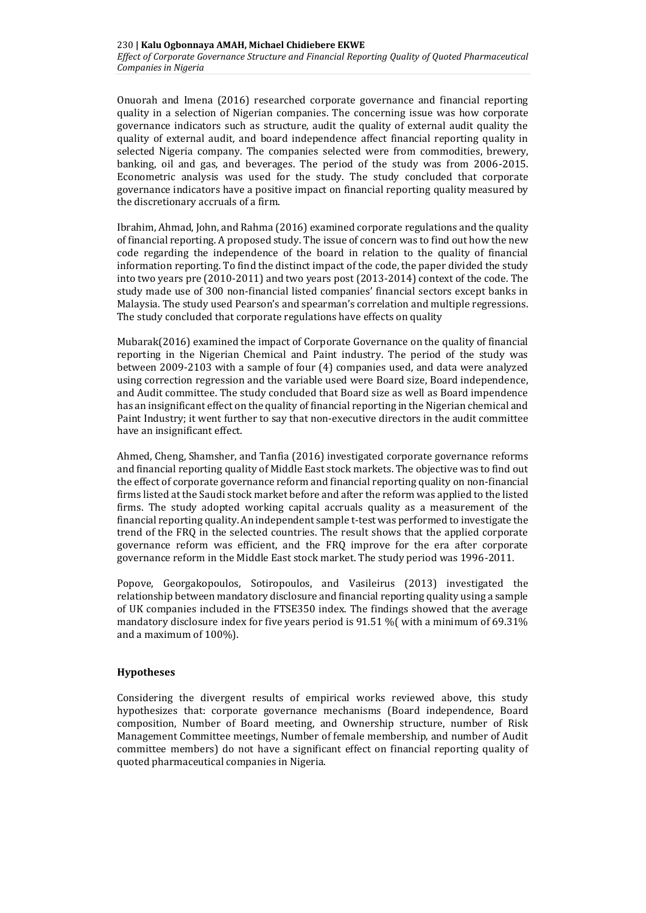Onuorah and Imena (2016) researched corporate governance and financial reporting quality in a selection of Nigerian companies. The concerning issue was how corporate governance indicators such as structure, audit the quality of external audit quality the quality of external audit, and board independence affect financial reporting quality in selected Nigeria company. The companies selected were from commodities, brewery, banking, oil and gas, and beverages. The period of the study was from 2006-2015. Econometric analysis was used for the study. The study concluded that corporate governance indicators have a positive impact on financial reporting quality measured by the discretionary accruals of a firm.

Ibrahim, Ahmad, John, and Rahma (2016) examined corporate regulations and the quality of financial reporting. A proposed study. The issue of concern was to find out how the new code regarding the independence of the board in relation to the quality of financial information reporting. To find the distinct impact of the code, the paper divided the study into two years pre (2010-2011) and two years post (2013-2014) context of the code. The study made use of 300 non-financial listed companies' financial sectors except banks in Malaysia. The study used Pearson's and spearman's correlation and multiple regressions. The study concluded that corporate regulations have effects on quality

Mubarak(2016) examined the impact of Corporate Governance on the quality of financial reporting in the Nigerian Chemical and Paint industry. The period of the study was between 2009-2103 with a sample of four (4) companies used, and data were analyzed using correction regression and the variable used were Board size, Board independence, and Audit committee. The study concluded that Board size as well as Board impendence has an insignificant effect on the quality of financial reporting in the Nigerian chemical and Paint Industry; it went further to say that non-executive directors in the audit committee have an insignificant effect.

Ahmed, Cheng, Shamsher, and Tanfia (2016) investigated corporate governance reforms and financial reporting quality of Middle East stock markets. The objective was to find out the effect of corporate governance reform and financial reporting quality on non-financial firms listed at the Saudi stock market before and after the reform was applied to the listed firms. The study adopted working capital accruals quality as a measurement of the financial reporting quality. An independent sample t-test was performed to investigate the trend of the FRQ in the selected countries. The result shows that the applied corporate governance reform was efficient, and the FRQ improve for the era after corporate governance reform in the Middle East stock market. The study period was 1996-2011.

Popove, Georgakopoulos, Sotiropoulos, and Vasileirus (2013) investigated the relationship between mandatory disclosure and financial reporting quality using a sample of UK companies included in the FTSE350 index. The findings showed that the average mandatory disclosure index for five years period is 91.51 %( with a minimum of 69.31% and a maximum of 100%).

#### **Hypotheses**

Considering the divergent results of empirical works reviewed above, this study hypothesizes that: corporate governance mechanisms (Board independence, Board composition, Number of Board meeting, and Ownership structure, number of Risk Management Committee meetings, Number of female membership, and number of Audit committee members) do not have a significant effect on financial reporting quality of quoted pharmaceutical companies in Nigeria.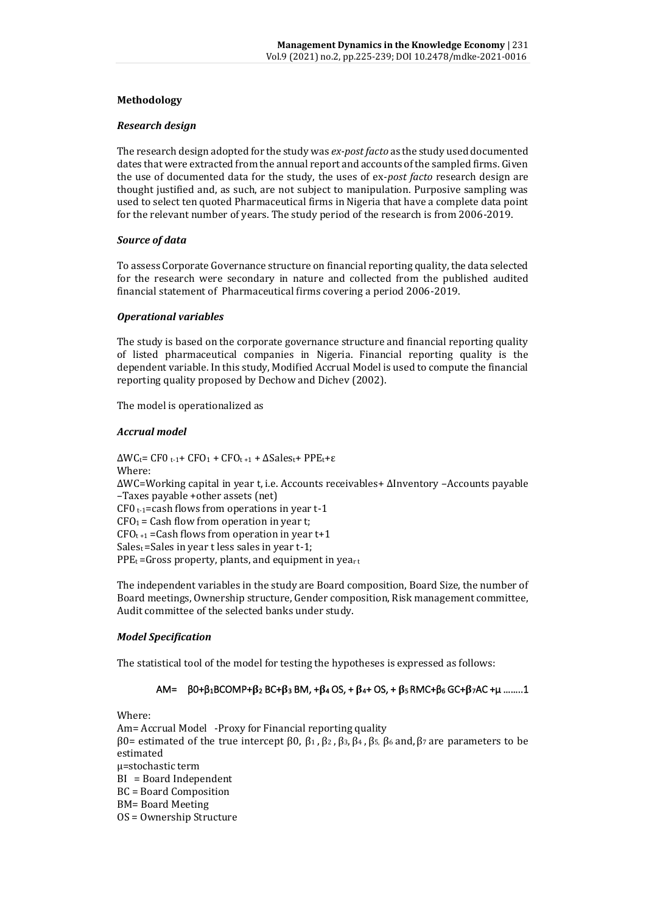### **Methodology**

#### *Research design*

The research design adopted for the study was *ex-post facto* as the study used documented dates that were extracted from the annual report and accounts of the sampled firms. Given the use of documented data for the study, the uses of ex-*post facto* research design are thought justified and, as such, are not subject to manipulation. Purposive sampling was used to select ten quoted Pharmaceutical firms in Nigeria that have a complete data point for the relevant number of years. The study period of the research is from 2006-2019.

#### *Source of data*

To assess Corporate Governance structure on financial reporting quality, the data selected for the research were secondary in nature and collected from the published audited financial statement of Pharmaceutical firms covering a period 2006-2019.

#### *Operational variables*

The study is based on the corporate governance structure and financial reporting quality of listed pharmaceutical companies in Nigeria. Financial reporting quality is the dependent variable. In this study, Modified Accrual Model is used to compute the financial reporting quality proposed by Dechow and Dichev (2002).

The model is operationalized as

#### *Accrual model*

 $\Delta W C_t$ = CF0 t-1+ CFO<sub>1</sub> + CFO<sub>t+1</sub> +  $\Delta S$ ales<sub>t</sub>+ PPE<sub>t</sub>+ε Where: ΔWC=Working capital in year t, i.e. Accounts receivables+ ΔInventory –Accounts payable –Taxes payable +other assets (net)  $CF0$ <sub>t-1</sub>=cash flows from operations in year t-1  $CFO<sub>1</sub> = Cash flow from operation in year t;$  $CFO_{t+1}$  = Cash flows from operation in year t+1  $Sales_t = Sales$  in year t less sales in year t-1;  $PPE_t = Gross$  property, plants, and equipment in yeart

The independent variables in the study are Board composition, Board Size, the number of Board meetings, Ownership structure, Gender composition, Risk management committee, Audit committee of the selected banks under study.

#### *Model Specification*

The statistical tool of the model for testing the hypotheses is expressed as follows:

#### AM=  $\beta$ 0+β<sub>1</sub>BCOMP+β<sub>2</sub> BC+β<sub>3</sub> BM, +β<sub>4</sub> OS, + β<sub>4</sub>+ OS, + β<sub>5</sub> RMC+β<sub>6</sub> GC+β<sub>7</sub>AC +μ ........1

Where: Am= Accrual Model -Proxy for Financial reporting quality β0= estimated of the true intercept β0,  $β_1$ ,  $β_2$ ,  $β_3$ ,  $β_4$ ,  $β_5$ ,  $β_6$  and,  $β_7$  are parameters to be estimated µ=stochastic term BI = Board Independent BC = Board Composition BM= Board Meeting OS = Ownership Structure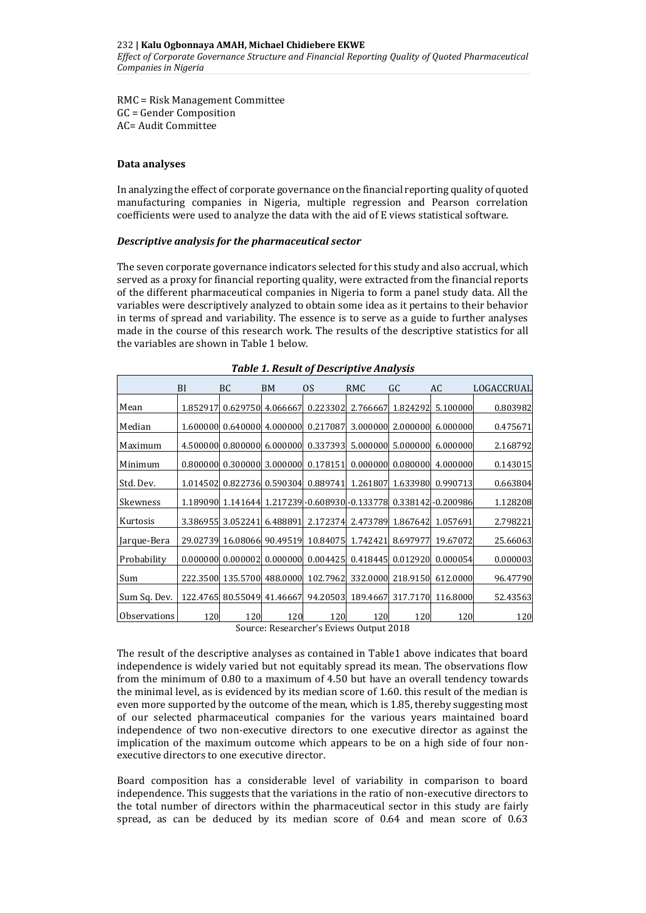RMC = Risk Management Committee GC = Gender Composition AC= Audit Committee

#### **Data analyses**

In analyzing the effect of corporate governance on the financial reporting quality of quoted manufacturing companies in Nigeria, multiple regression and Pearson correlation coefficients were used to analyze the data with the aid of E views statistical software.

#### *Descriptive analysis for the pharmaceutical sector*

The seven corporate governance indicators selected for this study and also accrual, which served as a proxy for financial reporting quality, were extracted from the financial reports of the different pharmaceutical companies in Nigeria to form a panel study data. All the variables were descriptively analyzed to obtain some idea as it pertains to their behavior in terms of spread and variability. The essence is to serve as a guide to further analyses made in the course of this research work. The results of the descriptive statistics for all the variables are shown in Table 1 below.

|                     | BI       | <b>BC</b> | BM       | <sub>OS</sub>                                               | RMC      | GC                | AC       | LOGACCRUAL |
|---------------------|----------|-----------|----------|-------------------------------------------------------------|----------|-------------------|----------|------------|
| Mean                | 1.852917 | 0.629750  | 4.066667 | 0.223302                                                    |          | 2.766667 1.824292 | 5.100000 | 0.803982   |
| Median              | 1.600000 | 0.640000  | 4.000000 | 0.217087                                                    |          | 3.000000 2.000000 | 6.000000 | 0.475671   |
| Maximum             | 4.500000 | 0.800000  | 6.000000 | 0.337393                                                    |          | 5.000000 5.000000 | 6.000000 | 2.168792   |
| Minimum             | 0.800000 | 0.300000  | 3.000000 | 0.178151                                                    |          | 0.000000 0.080000 | 4.000000 | 0.143015   |
| Std. Dev.           | 1.014502 | 0.822736  | 0.590304 | 0.889741                                                    | 1.261807 | 1.633980          | 0.990713 | 0.663804   |
| Skewness            | 1.189090 |           |          | 1.141644 1.217239 - 0.608930 - 0.133778 0.338142 - 0.200986 |          |                   |          | 1.128208   |
| Kurtosis            | 3.386955 | 3.052241  | 6.488891 | 2.172374                                                    |          | 2.473789 1.867642 | 1.057691 | 2.798221   |
| Jarque-Bera         | 29.02739 | 16.08066  | 90.49519 | 10.84075                                                    | 1.742421 | 8.697977          | 19.67072 | 25.66063   |
| Probability         | 0.000000 | 0.000002  | 0.000000 | 0.004425                                                    |          | 0.418445 0.012920 | 0.000054 | 0.000003   |
| Sum                 | 222.3500 | 135.5700  | 488.0000 | 102.7962                                                    |          | 332.0000 218.9150 | 612.0000 | 96.47790   |
| Sum Sq. Dev.        | 122.4765 | 80.55049  | 41.46667 | 94.20503                                                    | 189.4667 | 317.7170          | 116.8000 | 52.43563   |
| <b>Observations</b> | 120      | 120       | 120      | 120                                                         | 120      | 120               | 120      | 120        |

#### *Table 1. Result of Descriptive Analysis*

Source: Researcher's Eviews Output 2018

The result of the descriptive analyses as contained in Table1 above indicates that board independence is widely varied but not equitably spread its mean. The observations flow from the minimum of 0.80 to a maximum of 4.50 but have an overall tendency towards the minimal level, as is evidenced by its median score of 1.60. this result of the median is even more supported by the outcome of the mean, which is 1.85, thereby suggesting most of our selected pharmaceutical companies for the various years maintained board independence of two non-executive directors to one executive director as against the implication of the maximum outcome which appears to be on a high side of four nonexecutive directors to one executive director.

Board composition has a considerable level of variability in comparison to board independence. This suggests that the variations in the ratio of non-executive directors to the total number of directors within the pharmaceutical sector in this study are fairly spread, as can be deduced by its median score of 0.64 and mean score of 0.63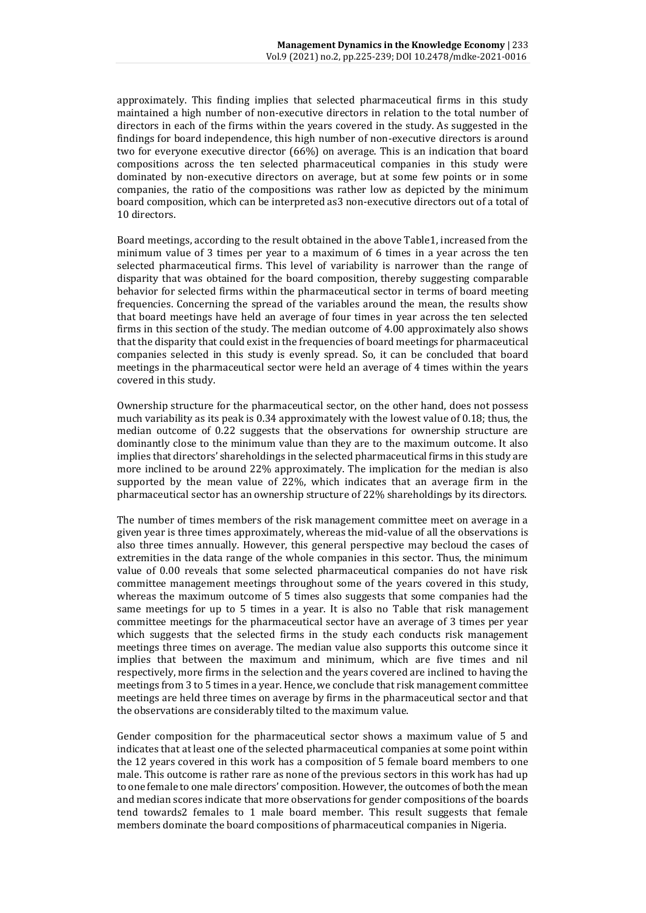approximately. This finding implies that selected pharmaceutical firms in this study maintained a high number of non-executive directors in relation to the total number of directors in each of the firms within the years covered in the study. As suggested in the findings for board independence, this high number of non-executive directors is around two for everyone executive director (66%) on average. This is an indication that board compositions across the ten selected pharmaceutical companies in this study were dominated by non-executive directors on average, but at some few points or in some companies, the ratio of the compositions was rather low as depicted by the minimum board composition, which can be interpreted as3 non-executive directors out of a total of 10 directors.

Board meetings, according to the result obtained in the above Table1, increased from the minimum value of 3 times per year to a maximum of 6 times in a year across the ten selected pharmaceutical firms. This level of variability is narrower than the range of disparity that was obtained for the board composition, thereby suggesting comparable behavior for selected firms within the pharmaceutical sector in terms of board meeting frequencies. Concerning the spread of the variables around the mean, the results show that board meetings have held an average of four times in year across the ten selected firms in this section of the study. The median outcome of 4.00 approximately also shows that the disparity that could exist in the frequencies of board meetings for pharmaceutical companies selected in this study is evenly spread. So, it can be concluded that board meetings in the pharmaceutical sector were held an average of 4 times within the years covered in this study.

Ownership structure for the pharmaceutical sector, on the other hand, does not possess much variability as its peak is 0.34 approximately with the lowest value of 0.18; thus, the median outcome of 0.22 suggests that the observations for ownership structure are dominantly close to the minimum value than they are to the maximum outcome. It also implies that directors' shareholdings in the selected pharmaceutical firms in this study are more inclined to be around 22% approximately. The implication for the median is also supported by the mean value of 22%, which indicates that an average firm in the pharmaceutical sector has an ownership structure of 22% shareholdings by its directors.

The number of times members of the risk management committee meet on average in a given year is three times approximately, whereas the mid-value of all the observations is also three times annually. However, this general perspective may becloud the cases of extremities in the data range of the whole companies in this sector. Thus, the minimum value of 0.00 reveals that some selected pharmaceutical companies do not have risk committee management meetings throughout some of the years covered in this study, whereas the maximum outcome of 5 times also suggests that some companies had the same meetings for up to 5 times in a year. It is also no Table that risk management committee meetings for the pharmaceutical sector have an average of 3 times per year which suggests that the selected firms in the study each conducts risk management meetings three times on average. The median value also supports this outcome since it implies that between the maximum and minimum, which are five times and nil respectively, more firms in the selection and the years covered are inclined to having the meetings from 3 to 5 times in a year. Hence, we conclude that risk management committee meetings are held three times on average by firms in the pharmaceutical sector and that the observations are considerably tilted to the maximum value.

Gender composition for the pharmaceutical sector shows a maximum value of 5 and indicates that at least one of the selected pharmaceutical companies at some point within the 12 years covered in this work has a composition of 5 female board members to one male. This outcome is rather rare as none of the previous sectors in this work has had up to one female to one male directors' composition. However, the outcomes of both the mean and median scores indicate that more observations for gender compositions of the boards tend towards2 females to 1 male board member. This result suggests that female members dominate the board compositions of pharmaceutical companies in Nigeria.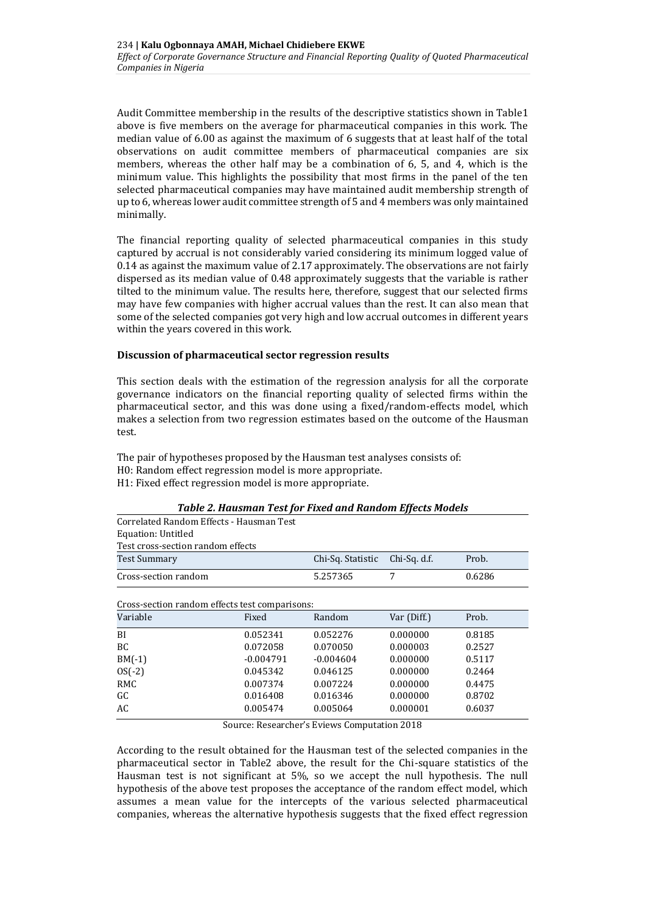Audit Committee membership in the results of the descriptive statistics shown in Table1 above is five members on the average for pharmaceutical companies in this work. The median value of 6.00 as against the maximum of 6 suggests that at least half of the total observations on audit committee members of pharmaceutical companies are six members, whereas the other half may be a combination of 6, 5, and 4, which is the minimum value. This highlights the possibility that most firms in the panel of the ten selected pharmaceutical companies may have maintained audit membership strength of up to 6, whereas lower audit committee strength of 5 and 4 members was only maintained minimally.

The financial reporting quality of selected pharmaceutical companies in this study captured by accrual is not considerably varied considering its minimum logged value of 0.14 as against the maximum value of 2.17 approximately. The observations are not fairly dispersed as its median value of 0.48 approximately suggests that the variable is rather tilted to the minimum value. The results here, therefore, suggest that our selected firms may have few companies with higher accrual values than the rest. It can also mean that some of the selected companies got very high and low accrual outcomes in different years within the years covered in this work.

#### **Discussion of pharmaceutical sector regression results**

This section deals with the estimation of the regression analysis for all the corporate governance indicators on the financial reporting quality of selected firms within the pharmaceutical sector, and this was done using a fixed/random-effects model, which makes a selection from two regression estimates based on the outcome of the Hausman test.

The pair of hypotheses proposed by the Hausman test analyses consists of: H0: Random effect regression model is more appropriate. H1: Fixed effect regression model is more appropriate.

| Twore $\equiv$ Hambihan Teor for Threa and Hamabin Effects Products |                                |        |
|---------------------------------------------------------------------|--------------------------------|--------|
| Correlated Random Effects - Hausman Test                            |                                |        |
| Equation: Untitled                                                  |                                |        |
| Test cross-section random effects                                   |                                |        |
| Test Summary                                                        | Chi-Sq. Statistic Chi-Sq. d.f. | Prob.  |
| Cross-section random                                                | 5.257365                       | 0.6286 |

# *Table 2. Hausman Test for Fixed and Random Effects Models*

Cross-section random effects test comparisons:

| Gross secuoli rahuoni cheets test comparisons. |             |             |             |        |
|------------------------------------------------|-------------|-------------|-------------|--------|
| Variable                                       | Fixed       | Random      | Var (Diff.) | Prob.  |
| BI                                             | 0.052341    | 0.052276    | 0.000000    | 0.8185 |
| <b>BC</b>                                      | 0.072058    | 0.070050    | 0.000003    | 0.2527 |
| $BM(-1)$                                       | $-0.004791$ | $-0.004604$ | 0.000000    | 0.5117 |
| $OS(-2)$                                       | 0.045342    | 0.046125    | 0.000000    | 0.2464 |
| RMC                                            | 0.007374    | 0.007224    | 0.000000    | 0.4475 |
| GC                                             | 0.016408    | 0.016346    | 0.000000    | 0.8702 |
| AC                                             | 0.005474    | 0.005064    | 0.000001    | 0.6037 |
|                                                |             |             |             |        |

Source: Researcher's Eviews Computation 2018

According to the result obtained for the Hausman test of the selected companies in the pharmaceutical sector in Table2 above, the result for the Chi-square statistics of the Hausman test is not significant at 5%, so we accept the null hypothesis. The null hypothesis of the above test proposes the acceptance of the random effect model, which assumes a mean value for the intercepts of the various selected pharmaceutical companies, whereas the alternative hypothesis suggests that the fixed effect regression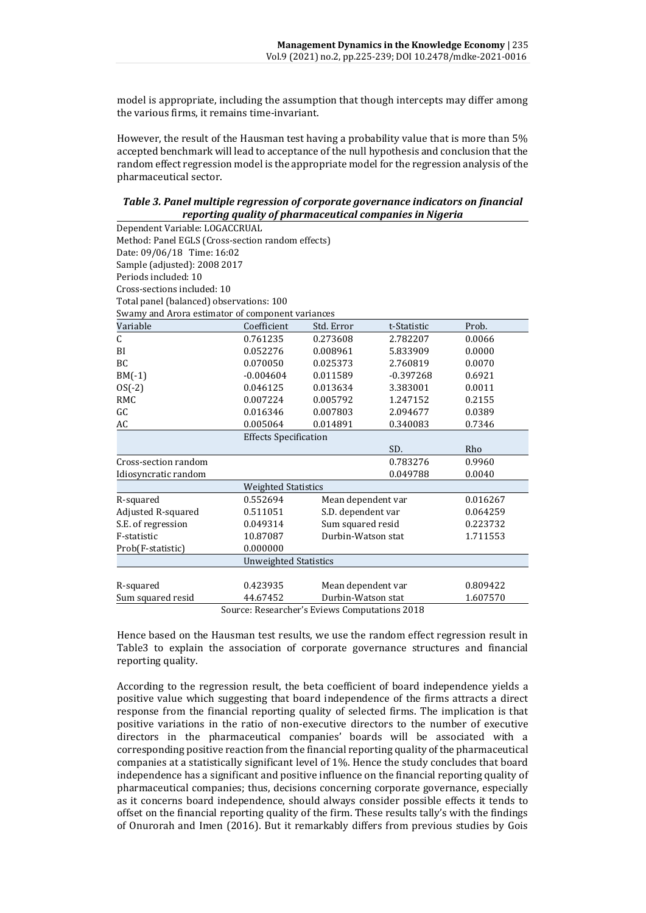model is appropriate, including the assumption that though intercepts may differ among the various firms, it remains time-invariant.

However, the result of the Hausman test having a probability value that is more than 5% accepted benchmark will lead to acceptance of the null hypothesis and conclusion that the random effect regression model is the appropriate model for the regression analysis of the pharmaceutical sector.

#### *Table 3. Panel multiple regression of corporate governance indicators on financial reporting quality of pharmaceutical companies in Nigeria*

| Method: Panel EGLS (Cross-section random effects)<br>Date: 09/06/18 Time: 16:02<br>Sample (adjusted): 2008 2017<br>Periods included: 10<br>Cross-sections included: 10<br>Total panel (balanced) observations: 100<br>Swamy and Arora estimator of component variances<br>Variable<br>Coefficient<br>Std. Error<br>Prob.<br>t-Statistic |
|-----------------------------------------------------------------------------------------------------------------------------------------------------------------------------------------------------------------------------------------------------------------------------------------------------------------------------------------|
|                                                                                                                                                                                                                                                                                                                                         |
|                                                                                                                                                                                                                                                                                                                                         |
|                                                                                                                                                                                                                                                                                                                                         |
|                                                                                                                                                                                                                                                                                                                                         |
|                                                                                                                                                                                                                                                                                                                                         |
|                                                                                                                                                                                                                                                                                                                                         |
|                                                                                                                                                                                                                                                                                                                                         |
|                                                                                                                                                                                                                                                                                                                                         |
| C<br>0.761235<br>0.273608<br>2.782207<br>0.0066                                                                                                                                                                                                                                                                                         |
| 0.052276<br>0.008961<br>0.0000<br>5.833909<br>BI                                                                                                                                                                                                                                                                                        |
| BC<br>0.070050<br>0.025373<br>2.760819<br>0.0070                                                                                                                                                                                                                                                                                        |
| $BM(-1)$<br>0.6921<br>$-0.004604$<br>0.011589<br>$-0.397268$                                                                                                                                                                                                                                                                            |
| $OS(-2)$<br>0.046125<br>0.013634<br>3.383001<br>0.0011                                                                                                                                                                                                                                                                                  |
| <b>RMC</b><br>0.007224<br>0.005792<br>1.247152<br>0.2155                                                                                                                                                                                                                                                                                |
| GC<br>0.016346<br>0.007803<br>2.094677<br>0.0389                                                                                                                                                                                                                                                                                        |
| 0.005064<br>AC<br>0.014891<br>0.340083<br>0.7346                                                                                                                                                                                                                                                                                        |
| <b>Effects Specification</b>                                                                                                                                                                                                                                                                                                            |
| SD.<br>Rho                                                                                                                                                                                                                                                                                                                              |
| Cross-section random<br>0.783276<br>0.9960                                                                                                                                                                                                                                                                                              |
| 0.049788<br>0.0040<br>Idiosyncratic random                                                                                                                                                                                                                                                                                              |
| <b>Weighted Statistics</b>                                                                                                                                                                                                                                                                                                              |
| R-squared<br>0.552694<br>Mean dependent var<br>0.016267                                                                                                                                                                                                                                                                                 |
| S.D. dependent var<br>Adjusted R-squared<br>0.511051<br>0.064259                                                                                                                                                                                                                                                                        |
| Sum squared resid<br>S.E. of regression<br>0.049314<br>0.223732                                                                                                                                                                                                                                                                         |
| F-statistic<br>10.87087<br>Durbin-Watson stat<br>1.711553                                                                                                                                                                                                                                                                               |
| 0.000000<br>Prob(F-statistic)                                                                                                                                                                                                                                                                                                           |
| <b>Unweighted Statistics</b>                                                                                                                                                                                                                                                                                                            |
|                                                                                                                                                                                                                                                                                                                                         |
| R-squared<br>0.423935<br>Mean dependent var<br>0.809422                                                                                                                                                                                                                                                                                 |
| Durbin-Watson stat<br>1.607570<br>Sum squared resid<br>44.67452<br>Source: Pessarcher's Friews Computations 2018                                                                                                                                                                                                                        |

Source: Researcher's Eviews Computations 2018

Hence based on the Hausman test results, we use the random effect regression result in Table3 to explain the association of corporate governance structures and financial reporting quality.

According to the regression result, the beta coefficient of board independence yields a positive value which suggesting that board independence of the firms attracts a direct response from the financial reporting quality of selected firms. The implication is that positive variations in the ratio of non-executive directors to the number of executive directors in the pharmaceutical companies' boards will be associated with a corresponding positive reaction from the financial reporting quality of the pharmaceutical companies at a statistically significant level of 1%. Hence the study concludes that board independence has a significant and positive influence on the financial reporting quality of pharmaceutical companies; thus, decisions concerning corporate governance, especially as it concerns board independence, should always consider possible effects it tends to offset on the financial reporting quality of the firm. These results tally's with the findings of Onurorah and Imen (2016). But it remarkably differs from previous studies by Gois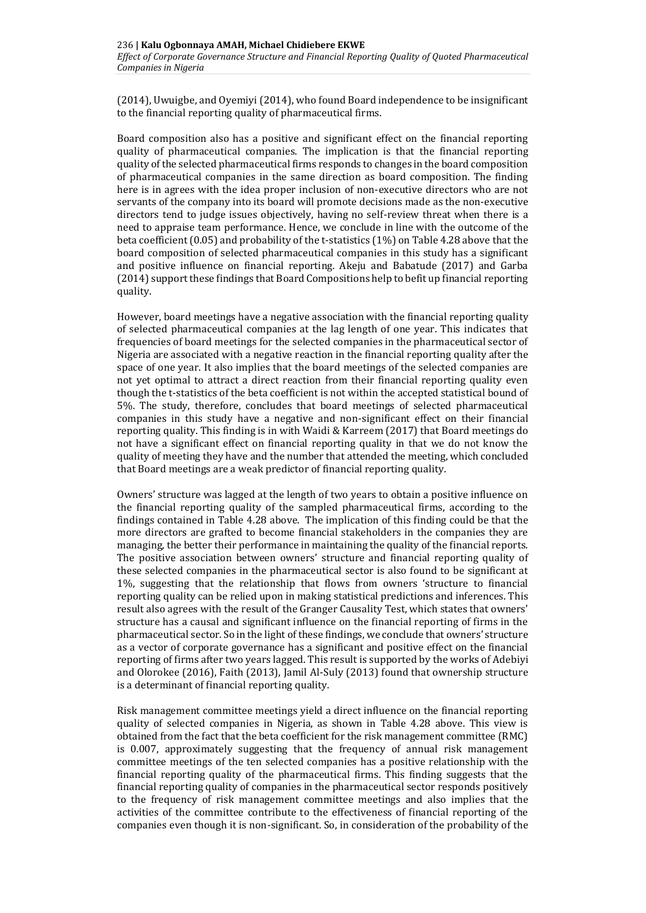(2014), Uwuigbe, and Oyemiyi (2014), who found Board independence to be insignificant to the financial reporting quality of pharmaceutical firms.

Board composition also has a positive and significant effect on the financial reporting quality of pharmaceutical companies. The implication is that the financial reporting quality of the selected pharmaceutical firms responds to changes in the board composition of pharmaceutical companies in the same direction as board composition. The finding here is in agrees with the idea proper inclusion of non-executive directors who are not servants of the company into its board will promote decisions made as the non-executive directors tend to judge issues objectively, having no self-review threat when there is a need to appraise team performance. Hence, we conclude in line with the outcome of the beta coefficient (0.05) and probability of the t-statistics (1%) on Table 4.28 above that the board composition of selected pharmaceutical companies in this study has a significant and positive influence on financial reporting. Akeju and Babatude (2017) and Garba (2014) support these findings that Board Compositions help to befit up financial reporting quality.

However, board meetings have a negative association with the financial reporting quality of selected pharmaceutical companies at the lag length of one year. This indicates that frequencies of board meetings for the selected companies in the pharmaceutical sector of Nigeria are associated with a negative reaction in the financial reporting quality after the space of one year. It also implies that the board meetings of the selected companies are not yet optimal to attract a direct reaction from their financial reporting quality even though the t-statistics of the beta coefficient is not within the accepted statistical bound of 5%. The study, therefore, concludes that board meetings of selected pharmaceutical companies in this study have a negative and non-significant effect on their financial reporting quality. This finding is in with Waidi & Karreem (2017) that Board meetings do not have a significant effect on financial reporting quality in that we do not know the quality of meeting they have and the number that attended the meeting, which concluded that Board meetings are a weak predictor of financial reporting quality.

Owners' structure was lagged at the length of two years to obtain a positive influence on the financial reporting quality of the sampled pharmaceutical firms, according to the findings contained in Table 4.28 above. The implication of this finding could be that the more directors are grafted to become financial stakeholders in the companies they are managing, the better their performance in maintaining the quality of the financial reports. The positive association between owners' structure and financial reporting quality of these selected companies in the pharmaceutical sector is also found to be significant at 1%, suggesting that the relationship that flows from owners 'structure to financial reporting quality can be relied upon in making statistical predictions and inferences. This result also agrees with the result of the Granger Causality Test, which states that owners' structure has a causal and significant influence on the financial reporting of firms in the pharmaceutical sector. So in the light of these findings, we conclude that owners' structure as a vector of corporate governance has a significant and positive effect on the financial reporting of firms after two years lagged. This result is supported by the works of Adebiyi and Olorokee (2016), Faith (2013), Jamil Al-Suly (2013) found that ownership structure is a determinant of financial reporting quality.

Risk management committee meetings yield a direct influence on the financial reporting quality of selected companies in Nigeria, as shown in Table 4.28 above. This view is obtained from the fact that the beta coefficient for the risk management committee (RMC) is 0.007, approximately suggesting that the frequency of annual risk management committee meetings of the ten selected companies has a positive relationship with the financial reporting quality of the pharmaceutical firms. This finding suggests that the financial reporting quality of companies in the pharmaceutical sector responds positively to the frequency of risk management committee meetings and also implies that the activities of the committee contribute to the effectiveness of financial reporting of the companies even though it is non-significant. So, in consideration of the probability of the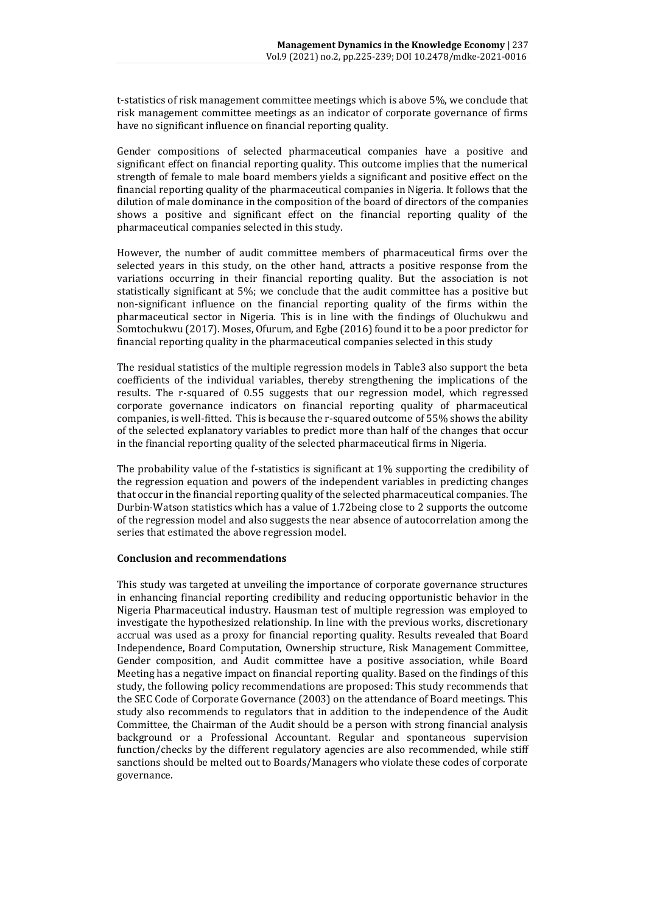t-statistics of risk management committee meetings which is above 5%, we conclude that risk management committee meetings as an indicator of corporate governance of firms have no significant influence on financial reporting quality.

Gender compositions of selected pharmaceutical companies have a positive and significant effect on financial reporting quality. This outcome implies that the numerical strength of female to male board members yields a significant and positive effect on the financial reporting quality of the pharmaceutical companies in Nigeria. It follows that the dilution of male dominance in the composition of the board of directors of the companies shows a positive and significant effect on the financial reporting quality of the pharmaceutical companies selected in this study.

However, the number of audit committee members of pharmaceutical firms over the selected years in this study, on the other hand, attracts a positive response from the variations occurring in their financial reporting quality. But the association is not statistically significant at 5%; we conclude that the audit committee has a positive but non-significant influence on the financial reporting quality of the firms within the pharmaceutical sector in Nigeria. This is in line with the findings of Oluchukwu and Somtochukwu (2017). Moses, Ofurum, and Egbe (2016) found it to be a poor predictor for financial reporting quality in the pharmaceutical companies selected in this study

The residual statistics of the multiple regression models in Table3 also support the beta coefficients of the individual variables, thereby strengthening the implications of the results. The r-squared of 0.55 suggests that our regression model, which regressed corporate governance indicators on financial reporting quality of pharmaceutical companies, is well-fitted. This is because the r-squared outcome of 55% shows the ability of the selected explanatory variables to predict more than half of the changes that occur in the financial reporting quality of the selected pharmaceutical firms in Nigeria.

The probability value of the f-statistics is significant at 1% supporting the credibility of the regression equation and powers of the independent variables in predicting changes that occur in the financial reporting quality of the selected pharmaceutical companies. The Durbin-Watson statistics which has a value of 1.72being close to 2 supports the outcome of the regression model and also suggests the near absence of autocorrelation among the series that estimated the above regression model.

#### **Conclusion and recommendations**

This study was targeted at unveiling the importance of corporate governance structures in enhancing financial reporting credibility and reducing opportunistic behavior in the Nigeria Pharmaceutical industry. Hausman test of multiple regression was employed to investigate the hypothesized relationship. In line with the previous works, discretionary accrual was used as a proxy for financial reporting quality. Results revealed that Board Independence, Board Computation, Ownership structure, Risk Management Committee, Gender composition, and Audit committee have a positive association, while Board Meeting has a negative impact on financial reporting quality. Based on the findings of this study, the following policy recommendations are proposed: This study recommends that the SEC Code of Corporate Governance (2003) on the attendance of Board meetings. This study also recommends to regulators that in addition to the independence of the Audit Committee, the Chairman of the Audit should be a person with strong financial analysis background or a Professional Accountant. Regular and spontaneous supervision function/checks by the different regulatory agencies are also recommended, while stiff sanctions should be melted out to Boards/Managers who violate these codes of corporate governance.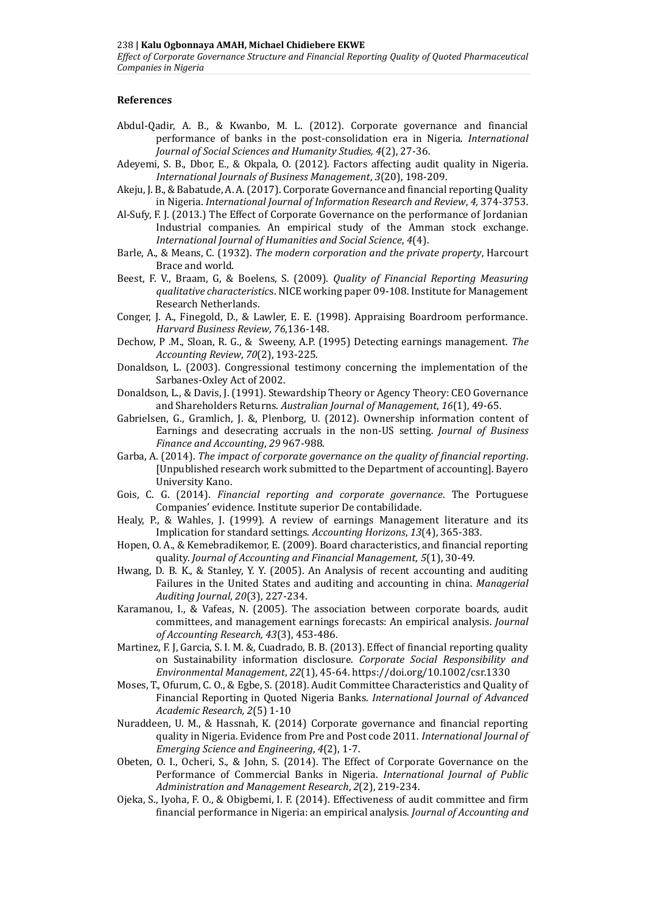#### **References**

- Abdul-Qadir, A. B., & Kwanbo, M. L. (2012). Corporate governance and financial performance of banks in the post-consolidation era in Nigeria. *International Journal of Social Sciences and Humanity Studies, 4*(2), 27-36.
- Adeyemi, S. B., Dbor, E., & Okpala, O. (2012). Factors affecting audit quality in Nigeria. *International Journals of Business Management*, *3*(20), 198-209.
- Akeju, J. B., & Babatude, A. A. (2017). Corporate Governance and financial reporting Quality in Nigeria. *International Journal of Information Research and Review*, *4,* 374-3753.
- Al-Sufy, F. J. (2013.) The Effect of Corporate Governance on the performance of Jordanian Industrial companies. An empirical study of the Amman stock exchange. *International Journal of Humanities and Social Science*, *4*(4).
- Barle, A., & Means, C. (1932). *The modern corporation and the private property*, Harcourt Brace and world.
- Beest, F. V., Braam, G, & Boelens, S. (2009). *Quality of Financial Reporting Measuring qualitative characteristic*s. NICE working paper 09-108. Institute for Management Research Netherlands.
- Conger, J. A., Finegold, D., & Lawler, E. E. (1998). Appraising Boardroom performance. *Harvard Business Review*, *76*,136-148.
- Dechow, P .M., Sloan, R. G., & Sweeny, A.P. (1995) Detecting earnings management. *The Accounting Review*, *70*(2), 193-225.
- Donaldson, L. (2003). Congressional testimony concerning the implementation of the Sarbanes-Oxley Act of 2002.
- Donaldson, L., & Davis, J. (1991). Stewardship Theory or Agency Theory: CEO Governance and Shareholders Returns. *Australian Journal of Management*, *16*(1), 49-65.
- Gabrielsen, G., Gramlich, J. &, Plenborg, U. (2012). Ownership information content of Earnings and desecrating accruals in the non-US setting. *Journal of Business Finance and Accounting*, *29* 967-988.
- Garba, A. (2014). *The impact of corporate governance on the quality of financial reporting*. [Unpublished research work submitted to the Department of accounting]. Bayero University Kano.
- Gois, C. G. (2014). *Financial reporting and corporate governance*. The Portuguese Companies' evidence. Institute superior De contabilidade.
- Healy, P., & Wahles, J. (1999). A review of earnings Management literature and its Implication for standard settings. *Accounting Horizons*, *13*(4), 365-383.
- Hopen, O. A., & Kemebradikemor, E. (2009). Board characteristics, and financial reporting quality. *Journal of Accounting and Financial Management, 5*(1), 30-49.
- Hwang, D. B. K., & Stanley, Y. Y. (2005). An Analysis of recent accounting and auditing Failures in the United States and auditing and accounting in china. *Managerial Auditing Journal*, *20*(3), 227-234.
- Karamanou, I., & Vafeas, N. (2005). The association between corporate boards, audit committees, and management earnings forecasts: An empirical analysis. *Journal of Accounting Research, 43*(3), 453-486.
- Martinez, F. J. Garcia, S. I. M. &, Cuadrado, B. B. (2013). Effect of financial reporting quality on Sustainability information disclosure. *Corporate Social Responsibility and Environmental Management*, *22*(1), 45-64. <https://doi.org/10.1002/csr.1330>
- Moses, T., Ofurum, C. O., & Egbe, S. (2018). Audit Committee Characteristics and Quality of Financial Reporting in Quoted Nigeria Banks. *International Journal of Advanced Academic Research, 2*(5) 1-10
- Nuraddeen, U. M., & Hassnah, K. (2014) Corporate governance and financial reporting quality in Nigeria. Evidence from Pre and Post code 2011. *International Journal of Emerging Science and Engineering*, *4*(2), 1-7.
- Obeten, O. I., Ocheri, S., & John, S. (2014). The Effect of Corporate Governance on the Performance of Commercial Banks in Nigeria. *International Journal of Public Administration and Management Research*, *2*(2), 219-234.
- Ojeka, S., Iyoha, F. O., & Obigbemi, I. F. (2014). Effectiveness of audit committee and firm financial performance in Nigeria: an empirical analysis. *Journal of Accounting and*